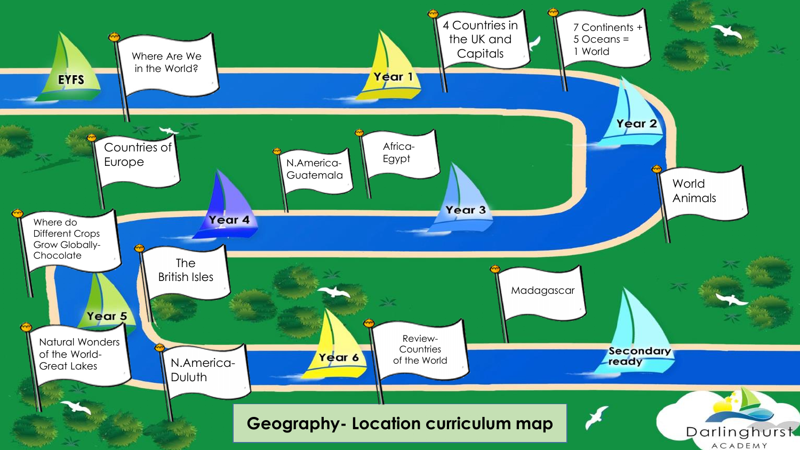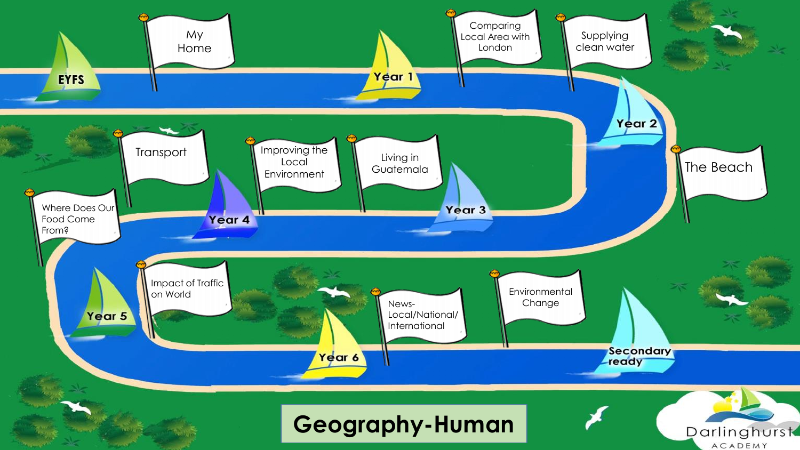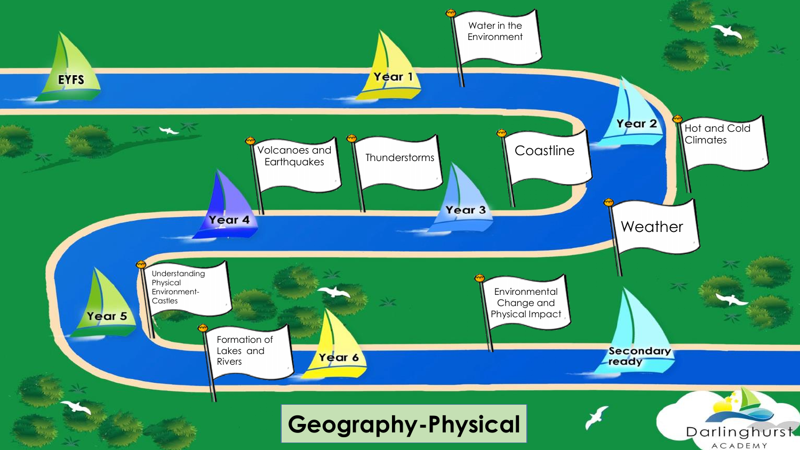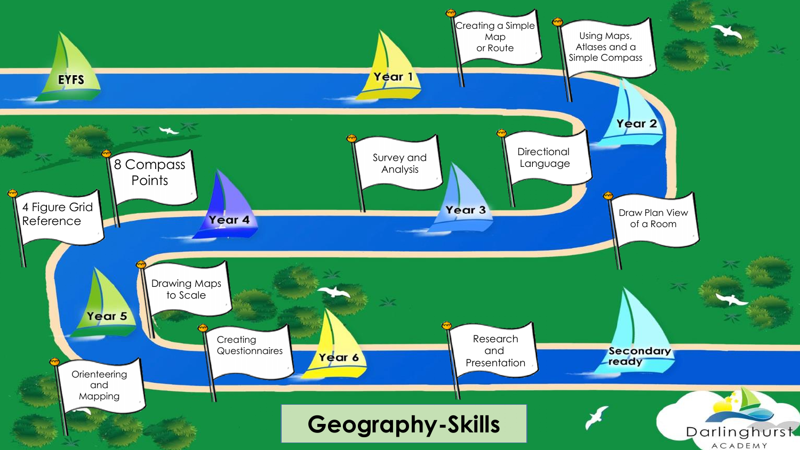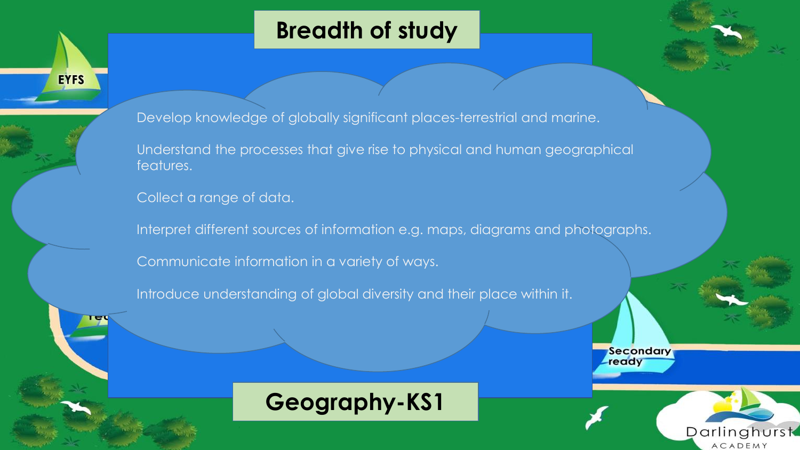

**EYFS** 

Develop knowledge of globally significant places-terrestrial and marine.

Understand the processes that give rise to physical and human geographical features.

Collect a range of data.

Interpret different sources of information e.g. maps, diagrams and photographs.

Communicate information in a variety of ways.

Introduce understanding of global diversity and their place within it.



Secondary ready

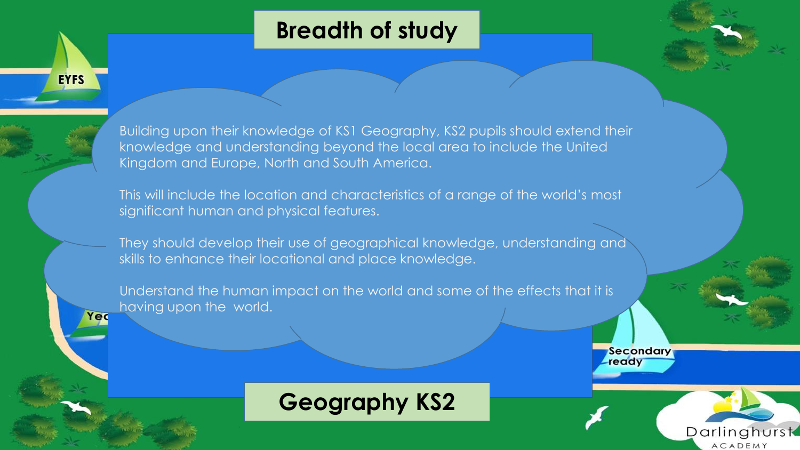

Darlinghurst ACADEMY



**EYFS** 

Yed

Building upon their knowledge of KS1 Geography, KS2 pupils should extend their knowledge and understanding beyond the local area to include the United Kingdom and Europe, North and South America.

This will include the location and characteristics of a range of the world's most significant human and physical features.

They should develop their use of geographical knowledge, understanding and skills to enhance their locational and place knowledge.

Understand the human impact on the world and some of the effects that it is having upon the world.



# **Geography KS2**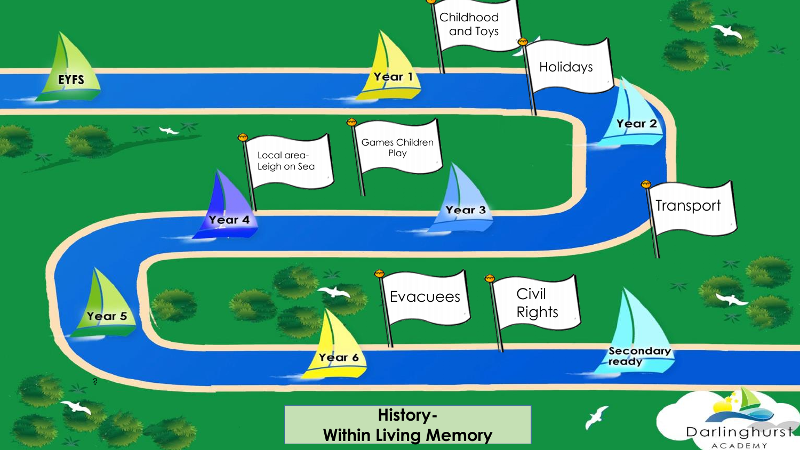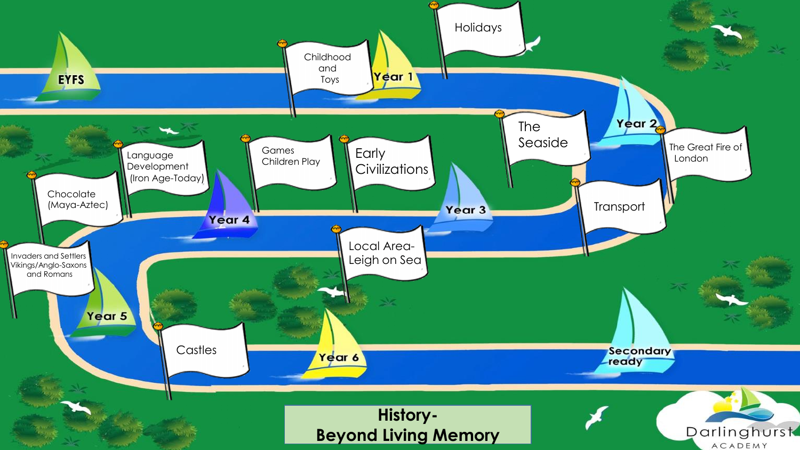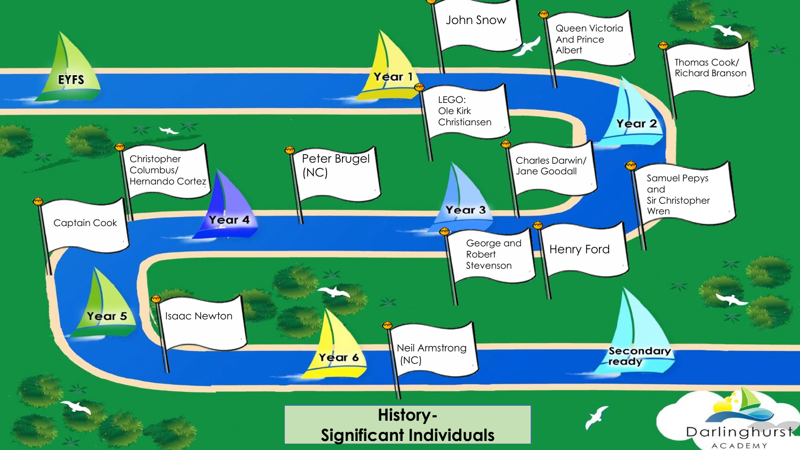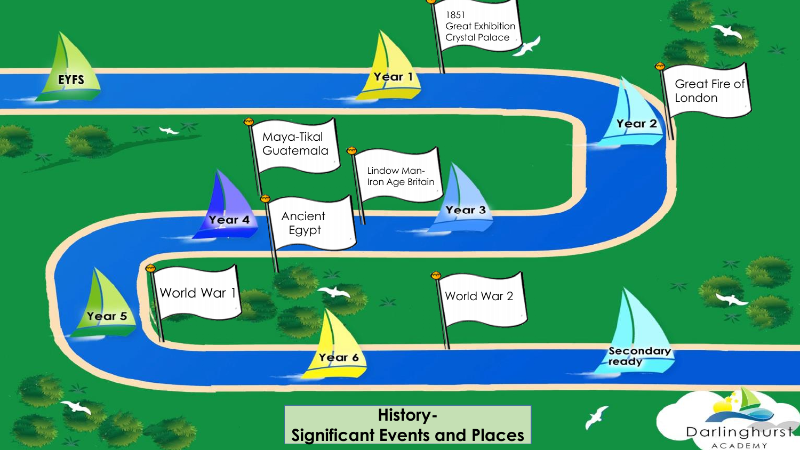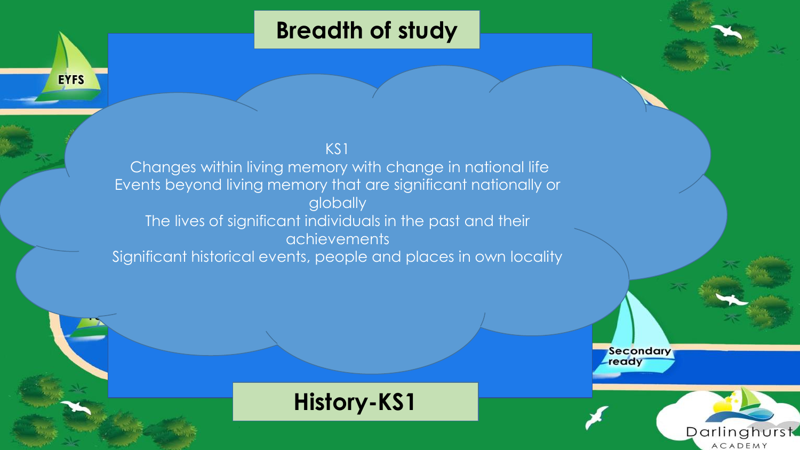#### KS1

**EYFS** 

Changes within living memory with change in national life Events beyond living memory that are significant nationally or globally The lives of significant individuals in the past and their achievements Significant historical events, people and places in own locality



Darlinghurst ACADEMY